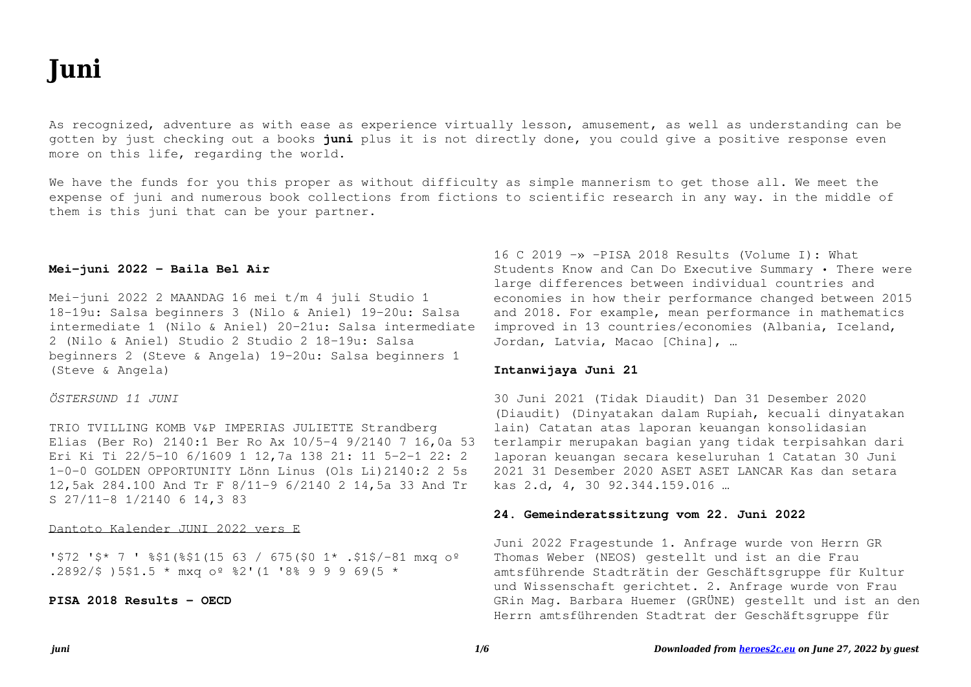# **Iuni**

As recognized, adventure as with ease as experience virtually lesson, amusement, as well as understanding can be gotten by just checking out a books juni plus it is not directly done, you could give a positive response even more on this life, regarding the world.

We have the funds for you this proper as without difficulty as simple mannerism to get those all. We meet the expense of juni and numerous book collections from fictions to scientific research in any way. in the middle of them is this juni that can be your partner.

# Mei-juni 2022 - Baila Bel Air

Mei-juni 2022 2 MAANDAG 16 mei t/m 4 juli Studio 1 18-19u: Salsa beginners 3 (Nilo & Aniel) 19-20u: Salsa intermediate 1 (Nilo & Aniel) 20-21u: Salsa intermediate 2 (Nilo & Aniel) Studio 2 Studio 2 18-19u: Salsa beginners 2 (Steve & Angela) 19-20u: Salsa beginners 1 (Steve & Angela)

#### ÖSTERSUND 11 JUNI

TRIO TVILLING KOMB V&P IMPERIAS JULIETTE Strandberg Elias (Ber Ro) 2140:1 Ber Ro Ax 10/5-4 9/2140 7 16,0a 53 Eri Ki Ti 22/5-10 6/1609 1 12,7a 138 21: 11 5-2-1 22: 2 1-0-0 GOLDEN OPPORTUNITY Lönn Linus (Ols Li)2140:2 2 5s 12,5ak 284.100 And Tr F 8/11-9 6/2140 2 14,5a 33 And Tr S 27/11-8 1/2140 6 14,3 83

Dantoto Kalender JUNI 2022 vers E

'\$72 '\$\* 7 ' %\$1(%\$1(15 63 / 675(\$0 1\* .\$1\$/-81 mxq oº .2892/\$ )5\$1.5 \* mxq oº %2' (1 '8% 9 9 9 69(5 \*

PISA 2018 Results - OECD

16 C 2019  $\rightarrow$  -PISA 2018 Results (Volume I): What Students Know and Can Do Executive Summary . There were large differences between individual countries and economies in how their performance changed between 2015 and 2018. For example, mean performance in mathematics improved in 13 countries/economies (Albania, Iceland, Jordan, Latvia, Macao [China], ...

#### Intanwijaya Juni 21

30 Juni 2021 (Tidak Diaudit) Dan 31 Desember 2020 (Diaudit) (Dinyatakan dalam Rupiah, kecuali dinyatakan lain) Catatan atas laporan keuangan konsolidasian terlampir merupakan bagian yang tidak terpisahkan dari laporan keuangan secara keseluruhan 1 Catatan 30 Juni 2021 31 Desember 2020 ASET ASET LANCAR Kas dan setara kas 2.d, 4, 30 92.344.159.016 ...

#### 24. Gemeinderatssitzung vom 22. Juni 2022

Juni 2022 Fragestunde 1. Anfrage wurde von Herrn GR Thomas Weber (NEOS) gestellt und ist an die Frau amtsführende Stadträtin der Geschäftsgruppe für Kultur und Wissenschaft gerichtet. 2. Anfrage wurde von Frau GRin Mag. Barbara Huemer (GRÜNE) gestellt und ist an den Herrn amtsführenden Stadtrat der Geschäftsgruppe für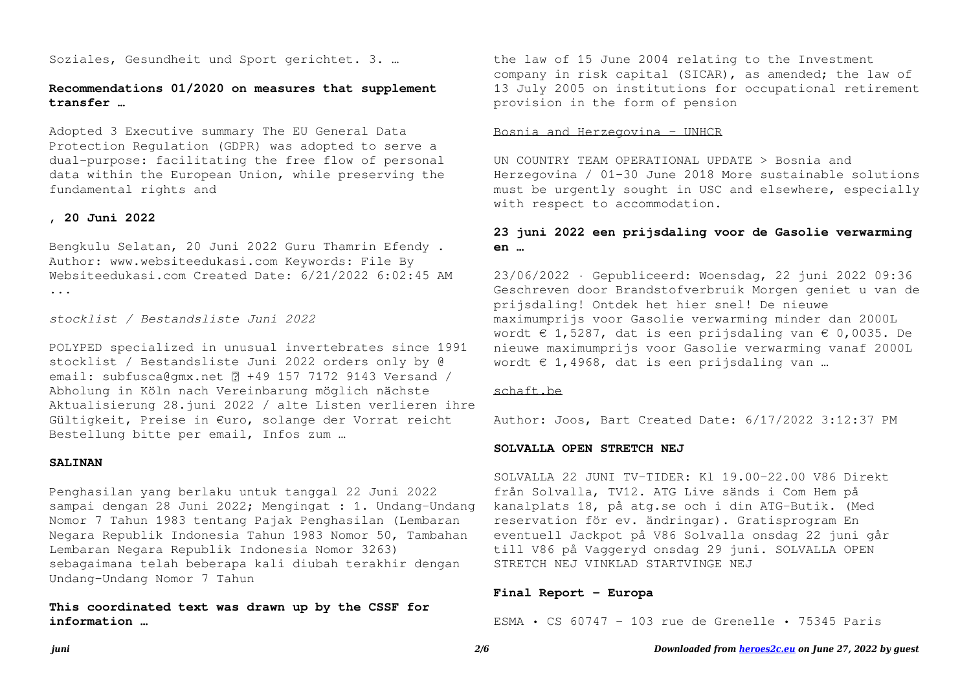Soziales, Gesundheit und Sport gerichtet. 3. …

# **Recommendations 01/2020 on measures that supplement transfer …**

Adopted 3 Executive summary The EU General Data Protection Regulation (GDPR) was adopted to serve a dual-purpose: facilitating the free flow of personal data within the European Union, while preserving the fundamental rights and

## **, 20 Juni 2022**

Bengkulu Selatan, 20 Juni 2022 Guru Thamrin Efendy . Author: www.websiteedukasi.com Keywords: File By Websiteedukasi.com Created Date: 6/21/2022 6:02:45 AM ...

*stocklist / Bestandsliste Juni 2022*

POLYPED specialized in unusual invertebrates since 1991 stocklist / Bestandsliste Juni 2022 orders only by @ email: subfusca@gmx.net  $[$ 7 +49 157 7172 9143 Versand / Abholung in Köln nach Vereinbarung möglich nächste Aktualisierung 28.juni 2022 / alte Listen verlieren ihre Gültigkeit, Preise in €uro, solange der Vorrat reicht Bestellung bitte per email, Infos zum …

## **SALINAN**

Penghasilan yang berlaku untuk tanggal 22 Juni 2022 sampai dengan 28 Juni 2022; Mengingat : 1. Undang-Undang Nomor 7 Tahun 1983 tentang Pajak Penghasilan (Lembaran Negara Republik Indonesia Tahun 1983 Nomor 50, Tambahan Lembaran Negara Republik Indonesia Nomor 3263) sebagaimana telah beberapa kali diubah terakhir dengan Undang-Undang Nomor 7 Tahun

**This coordinated text was drawn up by the CSSF for information …**

the law of 15 June 2004 relating to the Investment company in risk capital (SICAR), as amended; the law of 13 July 2005 on institutions for occupational retirement provision in the form of pension

## Bosnia and Herzegovina - UNHCR

UN COUNTRY TEAM OPERATIONAL UPDATE > Bosnia and Herzegovina / 01-30 June 2018 More sustainable solutions must be urgently sought in USC and elsewhere, especially with respect to accommodation.

# **23 juni 2022 een prijsdaling voor de Gasolie verwarming en …**

23/06/2022 · Gepubliceerd: Woensdag, 22 juni 2022 09:36 Geschreven door Brandstofverbruik Morgen geniet u van de prijsdaling! Ontdek het hier snel! De nieuwe maximumprijs voor Gasolie verwarming minder dan 2000L wordt  $\epsilon$  1,5287, dat is een prijsdaling van  $\epsilon$  0,0035. De nieuwe maximumprijs voor Gasolie verwarming vanaf 2000L wordt  $\epsilon$  1,4968, dat is een prijsdaling van ...

# schaft he

Author: Joos, Bart Created Date: 6/17/2022 3:12:37 PM

#### **SOLVALLA OPEN STRETCH NEJ**

SOLVALLA 22 JUNI TV-TIDER: Kl 19.00-22.00 V86 Direkt från Solvalla, TV12. ATG Live sänds i Com Hem på kanalplats 18, på atg.se och i din ATG-Butik. (Med reservation för ev. ändringar). Gratisprogram En eventuell Jackpot på V86 Solvalla onsdag 22 juni går till V86 på Vaggeryd onsdag 29 juni. SOLVALLA OPEN STRETCH NEJ VINKLAD STARTVINGE NEJ

## **Final Report - Europa**

ESMA • CS 60747 – 103 rue de Grenelle • 75345 Paris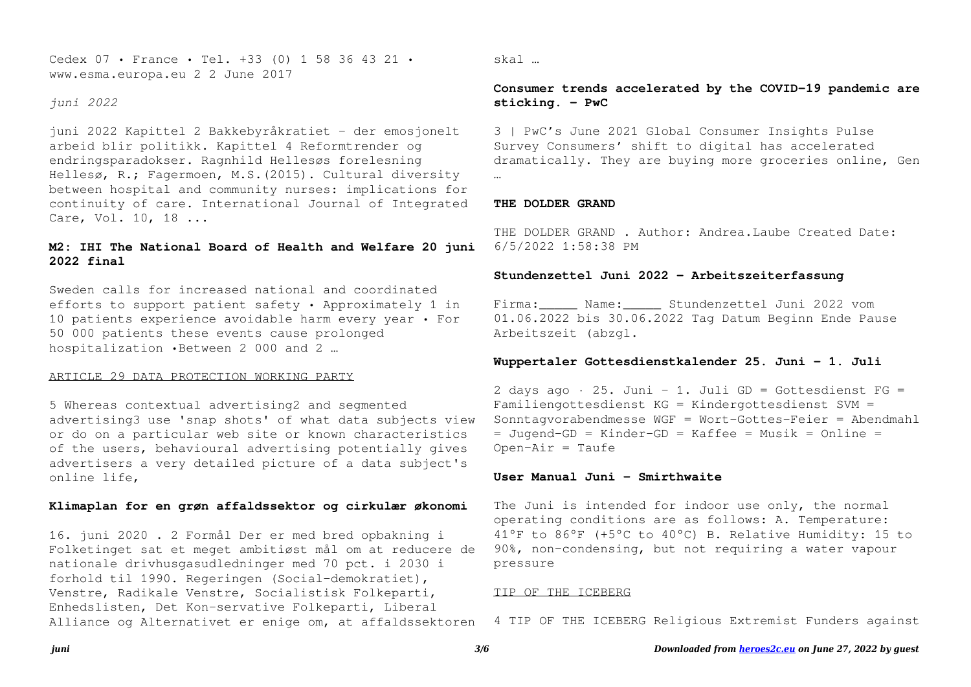Cedex 07 • France • Tel. +33 (0) 1 58 36 43 21 • www.esma.europa.eu 2 2 June 2017

*juni 2022*

juni 2022 Kapittel 2 Bakkebyråkratiet - der emosjonelt arbeid blir politikk. Kapittel 4 Reformtrender og endringsparadokser. Ragnhild Hellesøs forelesning Hellesø, R.; Fagermoen, M.S.(2015). Cultural diversity between hospital and community nurses: implications for continuity of care. International Journal of Integrated Care, Vol. 10, 18 ...

# **M2: IHI The National Board of Health and Welfare 20 juni 2022 final**

Sweden calls for increased national and coordinated efforts to support patient safety • Approximately 1 in 10 patients experience avoidable harm every year • For 50 000 patients these events cause prolonged hospitalization •Between 2 000 and 2 …

#### ARTICLE 29 DATA PROTECTION WORKING PARTY

5 Whereas contextual advertising2 and segmented advertising3 use 'snap shots' of what data subjects view or do on a particular web site or known characteristics of the users, behavioural advertising potentially gives advertisers a very detailed picture of a data subject's online life,

## **Klimaplan for en grøn affaldssektor og cirkulær økonomi**

16. juni 2020 . 2 Formål Der er med bred opbakning i Folketinget sat et meget ambitiøst mål om at reducere de nationale drivhusgasudledninger med 70 pct. i 2030 i forhold til 1990. Regeringen (Social-demokratiet), Venstre, Radikale Venstre, Socialistisk Folkeparti, Enhedslisten, Det Kon-servative Folkeparti, Liberal Alliance og Alternativet er enige om, at affaldssektoren

## skal …

# **Consumer trends accelerated by the COVID-19 pandemic are sticking. - PwC**

3 | PwC's June 2021 Global Consumer Insights Pulse Survey Consumers' shift to digital has accelerated dramatically. They are buying more groceries online, Gen …

#### **THE DOLDER GRAND**

THE DOLDER GRAND . Author: Andrea.Laube Created Date: 6/5/2022 1:58:38 PM

## **Stundenzettel Juni 2022 - Arbeitszeiterfassung**

Firma: Name: Stundenzettel Juni 2022 vom 01.06.2022 bis 30.06.2022 Tag Datum Beginn Ende Pause Arbeitszeit (abzgl.

## **Wuppertaler Gottesdienstkalender 25. Juni – 1. Juli**

2 days ago  $\cdot$  25. Juni - 1. Juli GD = Gottesdienst FG = Familiengottesdienst KG = Kindergottesdienst SVM = Sonntagvorabendmesse WGF = Wort-Gottes-Feier = Abendmahl  $=$  Jugend-GD = Kinder-GD = Kaffee = Musik = Online =  $Open-Air = Taufe$ 

## **User Manual Juni - Smirthwaite**

The Juni is intended for indoor use only, the normal operating conditions are as follows: A. Temperature: 41°F to 86°F (+5°C to 40°C) B. Relative Humidity: 15 to 90%, non-condensing, but not requiring a water vapour pressure

## TIP OF THE ICEBERG

4 TIP OF THE ICEBERG Religious Extremist Funders against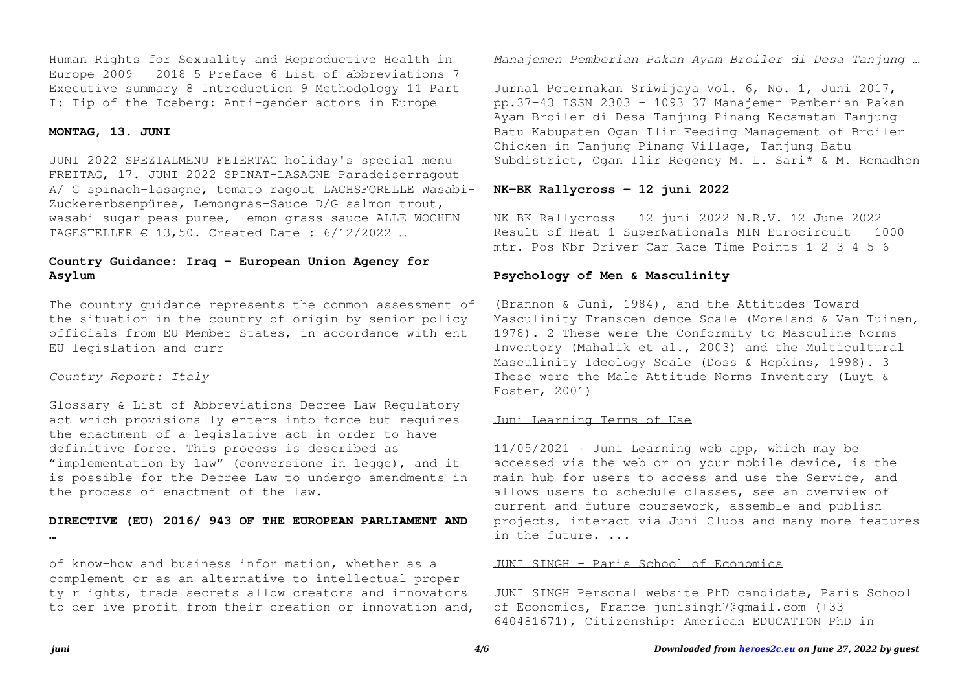Human Rights for Sexuality and Reproductive Health in Europe 2009 – 2018 5 Preface 6 List of abbreviations 7 Executive summary 8 Introduction 9 Methodology 11 Part I: Tip of the Iceberg: Anti-gender actors in Europe

## **MONTAG, 13. JUNI**

JUNI 2022 SPEZIALMENU FEIERTAG holiday's special menu FREITAG, 17. JUNI 2022 SPINAT-LASAGNE Paradeiserragout A/ G spinach-lasagne, tomato ragout LACHSFORELLE Wasabi-Zuckererbsenpüree, Lemongras-Sauce D/G salmon trout, wasabi-sugar peas puree, lemon grass sauce ALLE WOCHEN-TAGESTELLER  $\epsilon$  13,50. Created Date : 6/12/2022 ...

# **Country Guidance: Iraq - European Union Agency for Asylum**

The country guidance represents the common assessment of the situation in the country of origin by senior policy officials from EU Member States, in accordance with ent EU legislation and curr

# *Country Report: Italy*

Glossary & List of Abbreviations Decree Law Regulatory act which provisionally enters into force but requires the enactment of a legislative act in order to have definitive force. This process is described as "implementation by law" (conversione in legge), and it is possible for the Decree Law to undergo amendments in the process of enactment of the law.

# **DIRECTIVE (EU) 2016/ 943 OF THE EUROPEAN PARLIAMENT AND …**

of know-how and business infor mation, whether as a complement or as an alternative to intellectual proper ty r ights, trade secrets allow creators and innovators to der ive profit from their creation or innovation and, *Manajemen Pemberian Pakan Ayam Broiler di Desa Tanjung …*

Jurnal Peternakan Sriwijaya Vol. 6, No. 1, Juni 2017, pp.37-43 ISSN 2303 – 1093 37 Manajemen Pemberian Pakan Ayam Broiler di Desa Tanjung Pinang Kecamatan Tanjung Batu Kabupaten Ogan Ilir Feeding Management of Broiler Chicken in Tanjung Pinang Village, Tanjung Batu Subdistrict, Ogan Ilir Regency M. L. Sari\* & M. Romadhon

## **NK-BK Rallycross - 12 juni 2022**

NK-BK Rallycross - 12 juni 2022 N.R.V. 12 June 2022 Result of Heat 1 SuperNationals MIN Eurocircuit - 1000 mtr. Pos Nbr Driver Car Race Time Points 1 2 3 4 5 6

## **Psychology of Men & Masculinity**

(Brannon & Juni, 1984), and the Attitudes Toward Masculinity Transcen-dence Scale (Moreland & Van Tuinen, 1978). 2 These were the Conformity to Masculine Norms Inventory (Mahalik et al., 2003) and the Multicultural Masculinity Ideology Scale (Doss & Hopkins, 1998). 3 These were the Male Attitude Norms Inventory (Luyt & Foster, 2001)

#### Juni Learning Terms of Use

11/05/2021 · Juni Learning web app, which may be accessed via the web or on your mobile device, is the main hub for users to access and use the Service, and allows users to schedule classes, see an overview of current and future coursework, assemble and publish projects, interact via Juni Clubs and many more features in the future. ...

#### JUNI SINGH - Paris School of Economics

JUNI SINGH Personal website PhD candidate, Paris School of Economics, France junisingh7@gmail.com (+33 640481671), Citizenship: American EDUCATION PhD in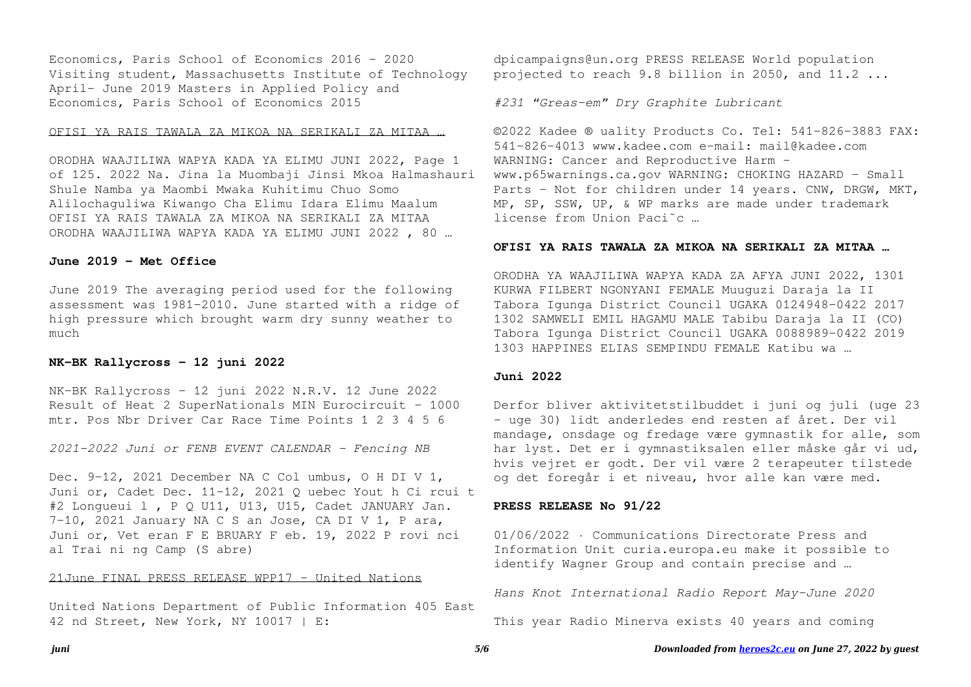Economics, Paris School of Economics 2016 - 2020 Visiting student, Massachusetts Institute of Technology April- June 2019 Masters in Applied Policy and Economics, Paris School of Economics 2015

#### OFISI YA RAIS TAWALA ZA MIKOA NA SERIKALI ZA MITAA …

ORODHA WAAJILIWA WAPYA KADA YA ELIMU JUNI 2022, Page 1 of 125. 2022 Na. Jina la Muombaji Jinsi Mkoa Halmashauri Shule Namba ya Maombi Mwaka Kuhitimu Chuo Somo Alilochaguliwa Kiwango Cha Elimu Idara Elimu Maalum OFISI YA RAIS TAWALA ZA MIKOA NA SERIKALI ZA MITAA ORODHA WAAJILIWA WAPYA KADA YA ELIMU JUNI 2022 , 80 …

## **June 2019 - Met Office**

June 2019 The averaging period used for the following assessment was 1981-2010. June started with a ridge of high pressure which brought warm dry sunny weather to much

## **NK-BK Rallycross - 12 juni 2022**

NK-BK Rallycross - 12 juni 2022 N.R.V. 12 June 2022 Result of Heat 2 SuperNationals MIN Eurocircuit - 1000 mtr. Pos Nbr Driver Car Race Time Points 1 2 3 4 5 6

*2021-2022 Juni or FENB EVENT CALENDAR - Fencing NB*

Dec. 9-12, 2021 December NA C Col umbus, O H DI V 1, Juni or, Cadet Dec. 11-12, 2021 Q uebec Yout h Ci rcui t #2 Longueui l , P Q U11, U13, U15, Cadet JANUARY Jan. 7-10, 2021 January NA C S an Jose, CA DI V 1, P ara, Juni or, Vet eran F E BRUARY F eb. 19, 2022 P rovi nci al Trai ni ng Camp (S abre)

#### 21June FINAL PRESS RELEASE WPP17 - United Nations

United Nations Department of Public Information 405 East 42 nd Street, New York, NY 10017 | E:

dpicampaigns@un.org PRESS RELEASE World population projected to reach 9.8 billion in 2050, and 11.2 ...

*#231 "Greas-em" Dry Graphite Lubricant*

©2022 Kadee ® uality Products Co. Tel: 541-826-3883 FAX: 541-826-4013 www.kadee.com e-mail: mail@kadee.com WARNING: Cancer and Reproductive Harm www.p65warnings.ca.gov WARNING: CHOKING HAZARD - Small Parts - Not for children under 14 years. CNW, DRGW, MKT, MP, SP, SSW, UP, & WP marks are made under trademark license from Union Paci˜c …

#### **OFISI YA RAIS TAWALA ZA MIKOA NA SERIKALI ZA MITAA …**

ORODHA YA WAAJILIWA WAPYA KADA ZA AFYA JUNI 2022, 1301 KURWA FILBERT NGONYANI FEMALE Muuguzi Daraja la II Tabora Igunga District Council UGAKA 0124948-0422 2017 1302 SAMWELI EMIL HAGAMU MALE Tabibu Daraja la II (CO) Tabora Igunga District Council UGAKA 0088989-0422 2019 1303 HAPPINES ELIAS SEMPINDU FEMALE Katibu wa …

#### **Juni 2022**

Derfor bliver aktivitetstilbuddet i juni og juli (uge 23 – uge 30) lidt anderledes end resten af året. Der vil mandage, onsdage og fredage være gymnastik for alle, som har lyst. Det er i gymnastiksalen eller måske går vi ud, hvis vejret er godt. Der vil være 2 terapeuter tilstede og det foregår i et niveau, hvor alle kan være med.

## **PRESS RELEASE No 91/22**

01/06/2022 · Communications Directorate Press and Information Unit curia.europa.eu make it possible to identify Wagner Group and contain precise and …

*Hans Knot International Radio Report May-June 2020*

This year Radio Minerva exists 40 years and coming